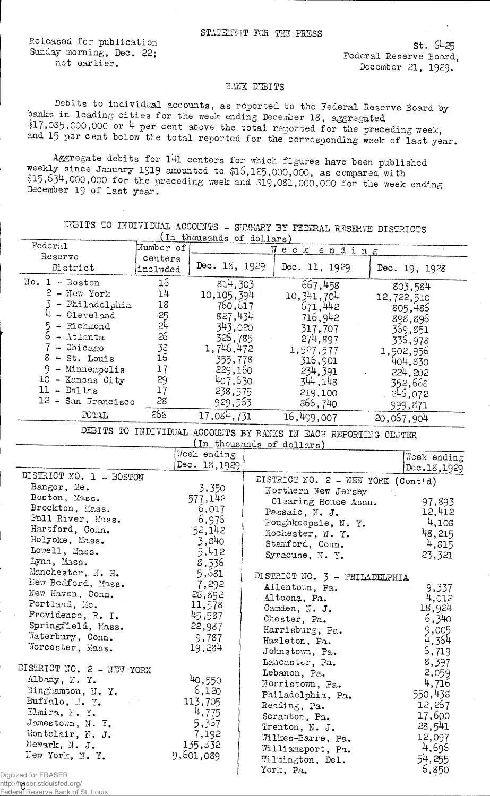Released for publication Sunday morning, Dec, 22; not earlier.

St. 6425 Federal Reserve Board, December 21, 1929.

## BANK DEBITS

Debits to individual accounts, as reported to the Federal Reserve Board by banks in leading cities for the week ending December 18, aggregated \$17,035,000,000 or 4 per cent above the total reported for the preceding week, and 15 per cent below the total reported for the corresponding week of last year.

Aggregate debits for l4l centers for which figures have been published weekly since January 1919 amounted to \$16,125,000,000, as compared with  $$15,634,000,000$  for the preceding week and  $$19,081,000,000$  for the week ending December 19 of last year.

Federal Reserve District included DEBITS TO IHDIVIDUAL ACCOUNTS - SUMMARY BY FEDERAL RESERVE DISTRICTS (in thousands of dollars) Mumber of centers<br>included Week ending Dec. IS, 1929 Dec. 11, 1929  $H_0$  . 1 - Boston 16 814,303  $2 -$ New York l4 10,105,394 3 - Philadelphia 18 760,617 4 - Cleveland 25 327,434  $\frac{5}{2}$  - Richmond 24 343,020  $6 - \text{Atlanta}$  26 326,785 7 - Chicago 33 1,746,472  $8 \div St.$  Louis  $16$  355,778 9 - Minneapolis 17 229,160 10 - Xansas City 29 407,630 <sup>11</sup> - Dallas <sup>17</sup> 238,575  $12 -$  San Francisco 28 929,563 TOTAL 268 17,084,731  $667,458$ 10,341,704 671,442 716,942 317,707 274,897 1,527,577 10,901 234,391 344**,i**48 219,100 366,740 Dec. 19, 1928  $16,499,007$ 803,584 12, 722, 510 805,486 898,896 369,851 336, 978 1,902,956 404,830 224,202 352,668 246,072 999,871 DEBITS TO INDIVIDUAL ACCOUNTS BY BANKS IN EACH REPORTING CENTER 20,067,904 Week ending Dec. 13,1929 DISTRICT NO. 1 - BOSTON Bangor, Me. 3,350<br>Boston, Mass. 577,142 Boston, Mass. 577,142<br>Brockton, Mass. 577,142<br>F-33 D: Brockton, Mass. Fall River, Mass. 6,976<br>Hartford, Conn. 52,142 Hartford, Conn. 52,142<br>
Holyoke, Mass. 5,240<br>
Lowell, Mass. 5,412  $H$ olyoke, Mass.  $3,840$  $L$ owell, Mass.  $5,412$ Lynn, Mass.<br>
Manchester, J. H.  $5,681$ <br>
Now Beford, M.  $\texttt{Manchester, M. H.} \quad 5,681$ Hew Bedford, Mass. 7,292 New Bedford, Mass. 7,292<br>New Haven, Conn. 28,892<br>Portland, Me. 11,578 Portland, Me. 11,578<br>Providence, R. I. 45,587 Providence, R. I. 45,587 Springfield, Mass. 22,987 Springfield, Mass. 22,987<br>Waterbury, Conn. 9,787<br>Worcester, Mass. 19,284 Worcester, Mass. DISTRICT NO. 2 - NEW YORK Albany, N. Y. 40,550<br>Binghamton, N. Y. 6,120 Binghamton, II. Y. Buffalo,  $\frac{1}{1}$ ,  $\frac{1}{1}$ ,  $\frac{1}{2}$ ,  $\frac{1}{2}$ ,  $\frac{1}{2}$ ,  $\frac{1}{2}$ ,  $\frac{1}{2}$ ,  $\frac{1}{2}$ ,  $\frac{1}{2}$ ,  $\frac{1}{2}$ ,  $\frac{1}{2}$ ,  $\frac{1}{2}$ ,  $\frac{1}{2}$ ,  $\frac{1}{2}$ ,  $\frac{1}{2}$ ,  $\frac{1}{2}$ ,  $\frac{1}{2}$ ,  $\frac{1}{2}$ ,  $\frac{1}{2}$ ,  $\frac$ Elmira, N. Y.  $\frac{4,775}{5,367}$ Jamestown, N. Y. 5,367<br>Montclair, N. J. 7,192 Montclair, N. J. 7,192<br>
Mewark, N. J. 135,32 Newark, N. J. 135,632<br>New York, N. Y. 9,601,089 New York, N.Y. (in thousands of dollars) Week ending Dec.IS,1929 DISTRICT NO.  $2 - \text{NEW}$  YORK (Cont'd) Northern New Jersey Northern New Jersey<br>Clearing House Assn. 97,893<br>Passaic, N. J. 12,412 Passaic, N. J. Poughkeepsie, N. Y.  $4,108$ Rochester, N. Y. 48,215<br>Stamford, Conn. 4,815 Stamford, Conn. Syracuse, N. Y.  $23,321$ DISTRICT NO. 3 - PHILADELPHIA Allentown, Pa. 9,337<br>Altoona, Pa. 4,012 Altoona, Pa. 4,012<br>Camden, N. J. 18,924 Camden, N. J. Chester, Pa. 6,340<br>
Harrisburg, Pa. 9,005<br>
Hazleton, Pa. 4,364 Harrisburg, Pa. Hazleton, Pa. Johnstown, Pa. 6,719<br>Lancaster, Pa. 8,397 Lancaster, Pa. 8,397<br>Lebanon, Pa. 2,059 Lebanon, Pa.  $2,059$ <br>Morristown, Pa.  $4,716$ Morristown, Pa. 4,716<br>Philadelphia, Pa. 550,436 Philadelphia, Pa. Reading, pa. 12, 267<br>Scranton, Pa. 17,600  $S$ cranton, Pa.  $17,600$ Trenton, N. J. 28,54l Wilkes-Barre, Pa.  $12,097$ <br>Williamsport, Pa.  $4,696$  $\texttt{Williamsport, Pa.} \qquad \qquad \texttt{4,696}$  $\texttt{Williamington}$ , Del.  $54,255$ York,  $Pa.$  6,850

Digitized for FRASER

http://fraser.stlouisfed.org/ Federal Reserve Bank of St. Louis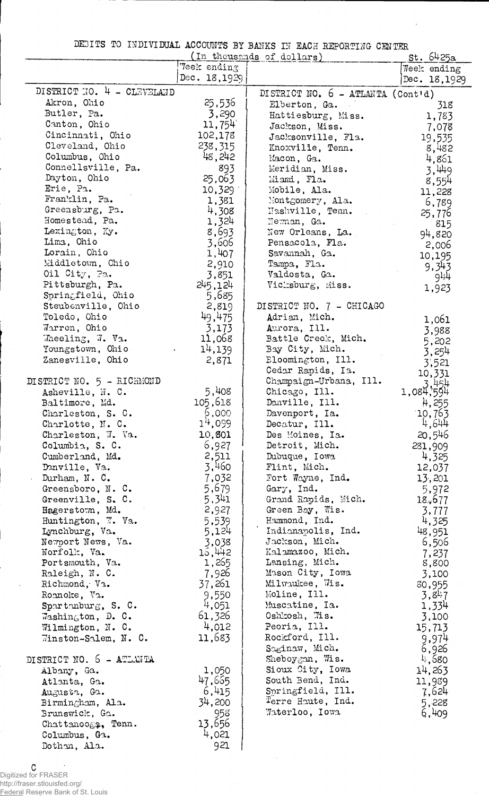DEBITS TO INDIVIDUAL ACCOUNTS BY BANKS IN EACH REPORTING CENTER

|                                               |                  | (In thousands of dollars)           | st. 6425a.     |
|-----------------------------------------------|------------------|-------------------------------------|----------------|
|                                               | Veek ending      |                                     | Week ending    |
|                                               | Dec. 18,1929     |                                     | Dec. 18,1929   |
| DISTRICT NO. 4 - CLEVELAND                    |                  | DISTRICT NO. $6 - ATLAWTA (Cont'd)$ |                |
| Akron, Ohio                                   | 25,536           | Elberton, Ga.                       | 318            |
| Butler, Pa.                                   | 3,290            | Hattiesburg, Miss.                  | 1,783          |
| Canton, Ohio                                  | 11,754           | Jackson, Miss.                      | 7,078          |
| Cincinnati, Ohio                              | 102,178          | Jacksonville, Fla.                  | 19,535         |
| Cleveland, Ohio                               | 238,315          | Knoxville, Tenn.                    | 8,482          |
| Columbus, Ohio                                | 48,242           | Macon, Ga.                          | 4,861          |
| Connellsville, Pa.                            | 893              | Meridian, Miss.                     | 3,449          |
| Dayton, Ohio                                  | 25,063           | Miami, Fla.                         | 8,554          |
| Erie, Pa.                                     | 10,329           | Mobile, Ala.                        | 11,228         |
| Franklin, Pa.                                 | 1,381            | Montgomery, Ala.                    | 6,789          |
| Greensburg, Pa.                               | 4,308            | Nashville, Tenn.                    | 25,776         |
| Homestead, Pa.                                | 1,324            | Newman, Ga.                         | 815            |
| Lexington, Ky.                                | 8,693            | New Orleans, La.                    | 94,820         |
| Lima, Ohio                                    | 3,606            | Pensacola, Fla.                     | 2,006          |
| Lorain, Ohio                                  | 1,407            | Savannah, Ga.                       | 10,195         |
| Middletown, Chio<br>Oil $\mathrm{City}$ , Pa. | 2,910            | Tampa, Fla.                         | 9,343          |
| Pittsburgh, Pa.                               | 3,851            | Valdosta, Ga.                       | 944            |
| Springfield, Ohio                             | 245,124<br>5,685 | Vicksburg, Miss.                    | 1,923          |
| Steubenville, Ohio                            | 2,819            | DISTRICT NO. 7 - CHICAGO            |                |
| Toledo, Ohio                                  | 49,475           | Adrian, Mich.                       |                |
| Warren, Ohio                                  | 3,173            | Aurora, Ill.                        | 1,061          |
| Wheeling, W. Va.                              | 11,068           | Battle Creek, Mich.                 | 3,988          |
| Youngstown, Ohio                              | 14,139           | Bay City, Mich.                     | 5,202          |
| Zanesville, Ohio                              | 2,871            | Eloomington, Ill.                   | 3,254<br>3,521 |
|                                               |                  | Cedar Rapids, Ia.                   | 10,331         |
| DISTRICT NO. 5 - RICHMOND                     |                  | Champaign-Urbana, Ill.              | 3.454          |
| Asheville, N. C.                              | 5,408            | Chicago, Ill.                       | 1,084,594      |
| Baltimore, Md.                                | 105,618          | Danville, Ill.                      | 4,255          |
| Charleston, S. C.                             | 6,000            | Davenport, Ia.                      | 10,763         |
| Charlotte, N. C.                              | 14,099           | Decatur, Ill.                       | 4,644          |
| Charleston, W. Va.                            | 10,801           | Des Moines, Ia.                     | 20,546         |
| Columbia, S. C.                               | 6,927            | Detroit, Mich.                      | 281,909        |
| Cumberland, Md.                               | 2,511            | Dubuque, Iowa                       | 4,325          |
| Danville, Va.                                 | 3,460            | Flint, Mich.                        | 12,037         |
| Durham, N. C.                                 | 7,032            | Fort Wayne, Ind.                    | 13,201         |
| Greensboro, N.C.                              | 5,679            | Gary, Ind.                          | 5,972          |
| Greenville, S. C.                             | 5,341            | Grand Rapids, Mich.                 | 18,677         |
| Hagerstown, Md.                               | 2,927            | Green Bay, Wis.                     | 3,777          |
| Huntington, W. Va.                            | 5,539            | Hammond, Ind.                       | 4,325          |
| Lynchburg, Va.                                | 5,124            | Indianapolis, Ind.                  | 48,951         |
| Newport News, Va.<br>Norfolk, Va.             | 3,038            | Jackson, Mich.<br>Kalamazoo, Mich.  | 6,506          |
| Portsmouth, Va.                               | 15,442<br>1,265  | Lansing, Mich.                      | 7,237<br>8,800 |
| Raleigh, N. C.                                | 7,926            | Mason City, Iowa                    | 3,100          |
| Richmond, Va.                                 | 37,261           | Milwaukee, Wis.                     | 80,955         |
| Roanoke, Va.                                  | 9,550            | Moline, Ill.                        | 3,847          |
| Spartanburg, S. C.                            | 4,051            | Muscatine, Ia.                      | 1,334          |
| Washington, D. C.                             | 61,326           | Oshkosh, Wis.                       | 3,100          |
| Wilmington, N. C.                             | 4,012            | Peoria, Ill.                        | 15,713         |
| Winston-Salem, N. C.                          | 11,683           | Rockford, Ill.                      | 9,974          |
|                                               |                  | Saginaw, Mich.                      | 6,926          |
| DISTRICT NO. 5 - ATLANTA                      |                  | Sheboygan, Wis.                     | 4,680          |
| Albany, Ga.                                   | 1,050            | Sioux City, Iowa                    | 14,263         |
| Atlanta, Ga.                                  | 47,665           | South Bend, Ind.                    | 11,989         |
| Augusta, Ga.                                  | 6,415            | Springfield, Ill.                   | 7,624          |
| Birmingham, Ala.                              | 34,200           | Terre Haute, Ind.                   | 5,228          |
| Brunswick, Ga.                                | 958              | Waterloo, Iowa                      | 6,409          |
| Chattanooga, Tenn.                            | 13,656           |                                     |                |
| Columbus, Ga.                                 | 4,021            |                                     |                |
| Dothan, Ala.                                  | 921              |                                     |                |

C Digitized for FRASER

ł,

http://fraser.stlouisfed.org/ Federal Reserve Bank of St. Louis